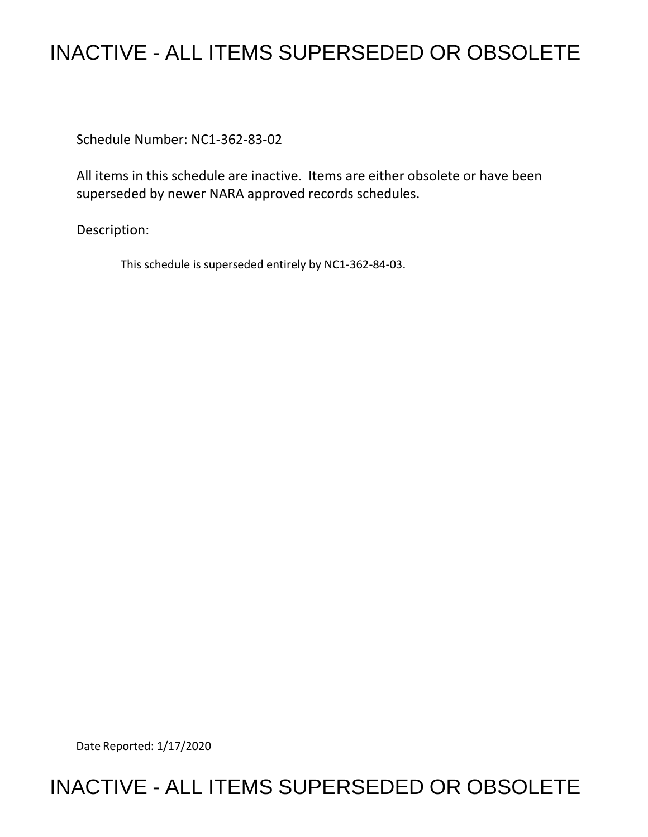## INACTIVE - ALL ITEMS SUPERSEDED OR OBSOLETE

Schedule Number: NC1-362-83-02

All items in this schedule are inactive. Items are either obsolete or have been superseded by newer NARA approved records schedules.

Description:

This schedule is superseded entirely by NC1-362-84-03.

Date Reported: 1/17/2020

## INACTIVE - ALL ITEMS SUPERSEDED OR OBSOLETE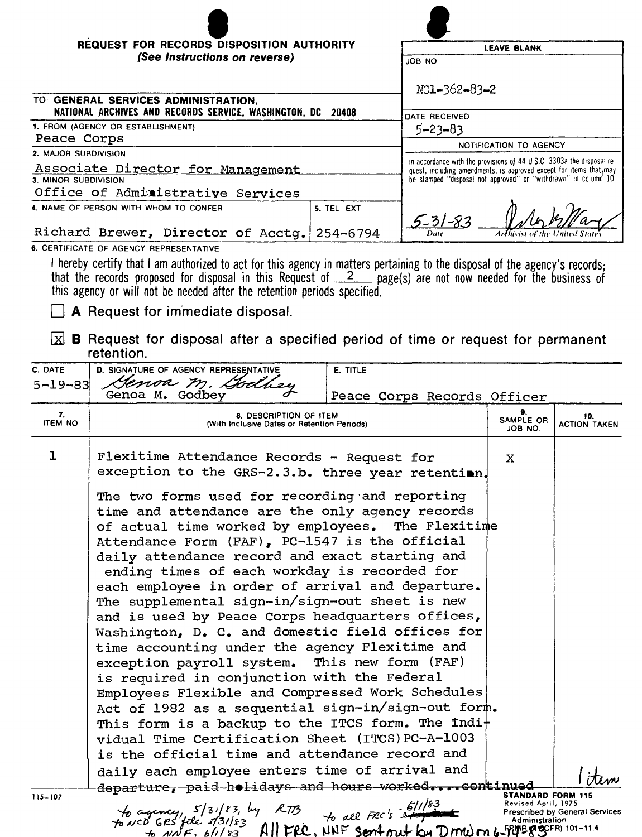| <b>REQUEST FOR RECORDS DISPOSITION AUTHORITY</b>                                                   | <b>LEAVE BLANK</b>                                                                                                                                                                                             |  |  |
|----------------------------------------------------------------------------------------------------|----------------------------------------------------------------------------------------------------------------------------------------------------------------------------------------------------------------|--|--|
| (See Instructions on reverse)                                                                      | JOB NO                                                                                                                                                                                                         |  |  |
|                                                                                                    | $NC1 - 362 - 83 - 2$<br>DATE RECEIVED                                                                                                                                                                          |  |  |
| TO GENERAL SERVICES ADMINISTRATION,<br>NATIONAL ARCHIVES AND RECORDS SERVICE, WASHINGTON, DC 20408 |                                                                                                                                                                                                                |  |  |
| 1. FROM (AGENCY OR ESTABLISHMENT)                                                                  | $5 - 23 - 83$                                                                                                                                                                                                  |  |  |
| Peace Corps                                                                                        | NOTIFICATION TO AGENCY                                                                                                                                                                                         |  |  |
| 2. MAJOR SUBDIVISION                                                                               | In accordance with the provisions of 44 U.S.C. 3303a the disposal re-<br>quest, including amendments, is approved except for items that, may<br>be stamped "disposal not approved" or "withdrawn" in column 10 |  |  |
| Associate Director for Management                                                                  |                                                                                                                                                                                                                |  |  |
| 3. MINOR SUBDIVISION                                                                               |                                                                                                                                                                                                                |  |  |
| Office of Administrative Services                                                                  |                                                                                                                                                                                                                |  |  |
| 4. NAME OF PERSON WITH WHOM TO CONFER<br>5. TEL EXT                                                | $5 - 31 - 83$                                                                                                                                                                                                  |  |  |
| Richard Brewer, Director of Acctg. 254-6794                                                        | Date<br>Arthivist of the United State                                                                                                                                                                          |  |  |

6. CERTIFICATE OF AGENCY REPRESENTATIVE

I hereby certify that I am authorized to act for this agency in matters pertaining to the disposal of the agency's records;<br>that the records proposed for disposal in this Request of  $\frac{2}{2}$  page(s) are not now needed fo

 $\Box$  A Request for immediate disposal.

 $\boxed{\mathbf{X}}$  **B** Request for disposal after a specified period of time or request for permanent retention.

| C. DATE              | D. SIGNATURE OF AGENCY REPRESENTATIVE                                                                                                                                                                                                                                                                                                                                                                                                                                   | E. TITLE                    |                            |                                       |
|----------------------|-------------------------------------------------------------------------------------------------------------------------------------------------------------------------------------------------------------------------------------------------------------------------------------------------------------------------------------------------------------------------------------------------------------------------------------------------------------------------|-----------------------------|----------------------------|---------------------------------------|
| $5 - 19 - 83$        | Genoa m. Godbey<br>Genoa M. Godbey                                                                                                                                                                                                                                                                                                                                                                                                                                      | Peace Corps Records Officer |                            |                                       |
| 7.<br><b>ITEM NO</b> | 8. DESCRIPTION OF ITEM<br>(With Inclusive Dates or Retention Periods)                                                                                                                                                                                                                                                                                                                                                                                                   |                             | 9.<br>SAMPLE OR<br>JOB NO. | 10.<br><b>ACTION TAKEN</b>            |
| $\mathbf 1$          | Flexitime Attendance Records - Request for<br>exception to the GRS-2.3.b. three year retentian.<br>The two forms used for recording and reporting<br>time and attendance are the only agency records<br>of actual time worked by employees. The Flexitime<br>Attendance Form (FAF), PC-1547 is the official<br>daily attendance record and exact starting and<br>ending times of each workday is recorded for<br>each employee in order of arrival and departure.       |                             | X                          |                                       |
|                      | The supplemental sign-in/sign-out sheet is new<br>and is used by Peace Corps headquarters offices,<br>Washington, D. C. and domestic field offices for<br>time accounting under the agency Flexitime and<br>exception payroll system. This new form (FAF)<br>is required in conjunction with the Federal<br>Employees Flexible and Compressed Work Schedules<br>Act of 1982 as a sequential sign-in/sign-out form.<br>This form is a backup to the ITCS form. The Indi+ |                             |                            |                                       |
|                      | vidual Time Certification Sheet (ITCS) PC-A-1003<br>is the official time and attendance record and<br>daily each employee enters time of arrival and<br>departure, paid holidays and hours workedcontinued                                                                                                                                                                                                                                                              |                             |                            |                                       |
| $115 - 107$          | to agency, 5/31/83, by RTB<br>to NCD GRS file 5/31/83 All FRC's extra Revised April, 1975<br>to NCD GRS file 5/31/83 All FRC, NNF Sentency by DMW M 6-FULP Administration                                                                                                                                                                                                                                                                                               |                             | <b>STANDARD FORM 115</b>   | <b>Prescribed by General Services</b> |